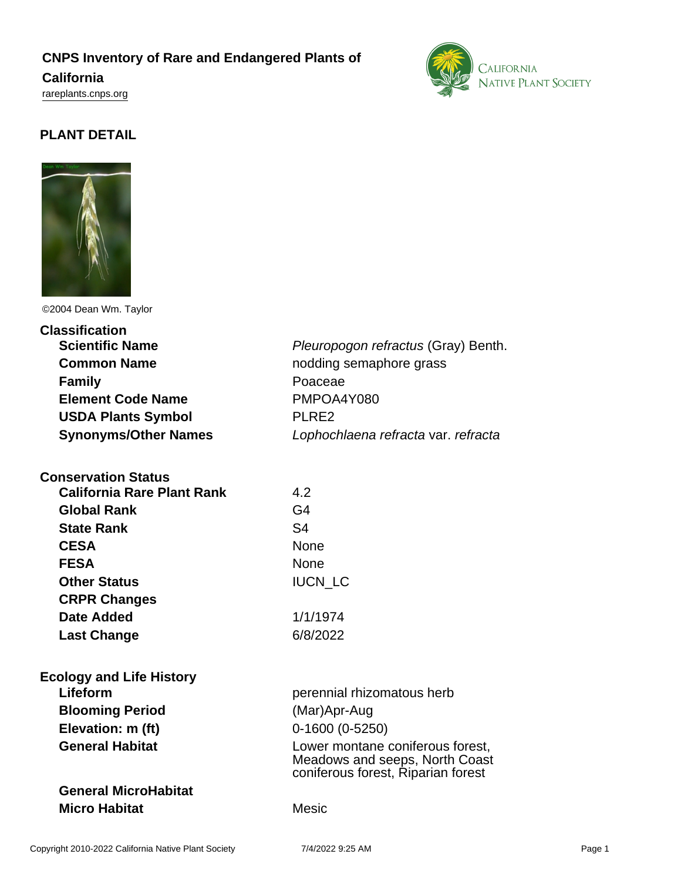# **CNPS Inventory of Rare and Endangered Plants of**

### **California**

<rareplants.cnps.org>



# **PLANT DETAIL**



©2004 Dean Wm. Taylor

| <b>Classification</b>             |                                                                                                          |
|-----------------------------------|----------------------------------------------------------------------------------------------------------|
| <b>Scientific Name</b>            | Pleuropogon refractus (Gray) Benth.                                                                      |
| <b>Common Name</b>                | nodding semaphore grass                                                                                  |
| <b>Family</b>                     | Poaceae                                                                                                  |
| <b>Element Code Name</b>          | PMPOA4Y080                                                                                               |
| <b>USDA Plants Symbol</b>         | PLRE2                                                                                                    |
| <b>Synonyms/Other Names</b>       | Lophochlaena refracta var. refracta                                                                      |
| <b>Conservation Status</b>        |                                                                                                          |
| <b>California Rare Plant Rank</b> | 4.2                                                                                                      |
| <b>Global Rank</b>                | G <sub>4</sub>                                                                                           |
| <b>State Rank</b>                 | S <sub>4</sub>                                                                                           |
| <b>CESA</b>                       | None                                                                                                     |
| <b>FESA</b>                       | None                                                                                                     |
| <b>Other Status</b>               | <b>IUCN LC</b>                                                                                           |
| <b>CRPR Changes</b>               |                                                                                                          |
| <b>Date Added</b>                 | 1/1/1974                                                                                                 |
| <b>Last Change</b>                | 6/8/2022                                                                                                 |
| <b>Ecology and Life History</b>   |                                                                                                          |
| Lifeform                          | perennial rhizomatous herb                                                                               |
| <b>Blooming Period</b>            | (Mar)Apr-Aug                                                                                             |
| Elevation: m (ft)                 | $0-1600(0-5250)$                                                                                         |
| <b>General Habitat</b>            | Lower montane coniferous forest,<br>Meadows and seeps, North Coast<br>coniferous forest, Riparian forest |
| <b>General MicroHabitat</b>       |                                                                                                          |
| <b>Micro Habitat</b>              | <b>Mesic</b>                                                                                             |
|                                   |                                                                                                          |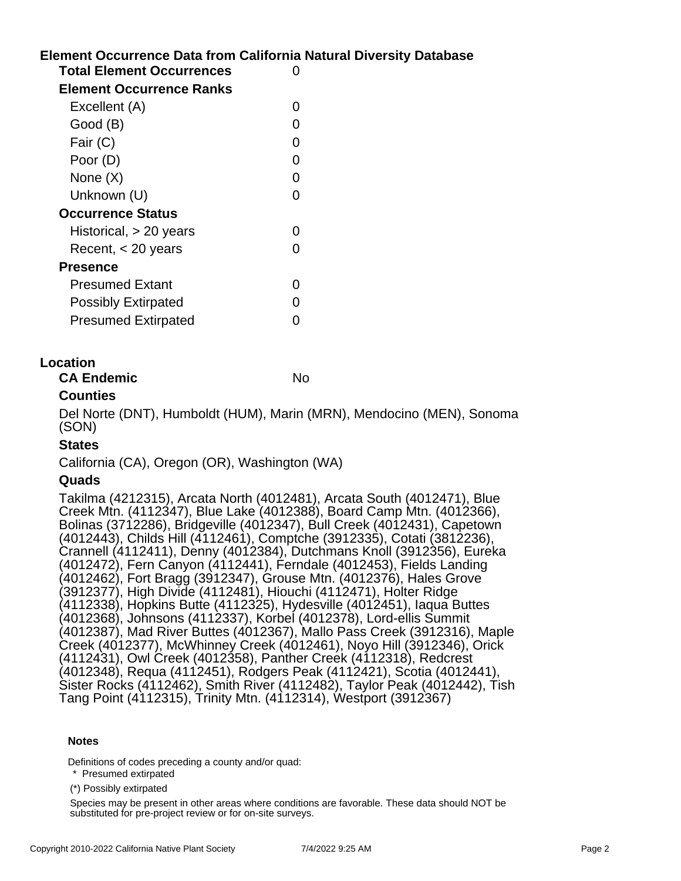# **Element Occurrence Data from California Natural Diversity Database Total Element Occurrences** 0

| Element Occurrence Ranks   |   |
|----------------------------|---|
| Excellent (A)              |   |
| Good (B)                   |   |
| Fair (C)                   | 0 |
| Poor (D)                   |   |
| None $(X)$                 |   |
| Unknown (U)                |   |
| <b>Occurrence Status</b>   |   |
| Historical, > 20 years     |   |
| Recent, $<$ 20 years       |   |
| Presence                   |   |
| <b>Presumed Extant</b>     |   |
| <b>Possibly Extirpated</b> |   |
| <b>Presumed Extirpated</b> |   |
|                            |   |

### **Location**

**CA Endemic** No. No.

## **Counties**

Del Norte (DNT), Humboldt (HUM), Marin (MRN), Mendocino (MEN), Sonoma (SON)

## **States**

California (CA), Oregon (OR), Washington (WA)

### **Quads**

Takilma (4212315), Arcata North (4012481), Arcata South (4012471), Blue Creek Mtn. (4112347), Blue Lake (4012388), Board Camp Mtn. (4012366), Bolinas (3712286), Bridgeville (4012347), Bull Creek (4012431), Capetown (4012443), Childs Hill (4112461), Comptche (3912335), Cotati (3812236), Crannell (4112411), Denny (4012384), Dutchmans Knoll (3912356), Eureka (4012472), Fern Canyon (4112441), Ferndale (4012453), Fields Landing (4012462), Fort Bragg (3912347), Grouse Mtn. (4012376), Hales Grove (3912377), High Divide (4112481), Hiouchi (4112471), Holter Ridge (4112338), Hopkins Butte (4112325), Hydesville (4012451), Iaqua Buttes (4012368), Johnsons (4112337), Korbel (4012378), Lord-ellis Summit (4012387), Mad River Buttes (4012367), Mallo Pass Creek (3912316), Maple Creek (4012377), McWhinney Creek (4012461), Noyo Hill (3912346), Orick (4112431), Owl Creek (4012358), Panther Creek (4112318), Redcrest (4012348), Requa (4112451), Rodgers Peak (4112421), Scotia (4012441), Sister Rocks (4112462), Smith River (4112482), Taylor Peak (4012442), Tish Tang Point (4112315), Trinity Mtn. (4112314), Westport (3912367)

#### **Notes**

Definitions of codes preceding a county and/or quad:

\* Presumed extirpated

(\*) Possibly extirpated

Species may be present in other areas where conditions are favorable. These data should NOT be substituted for pre-project review or for on-site surveys.